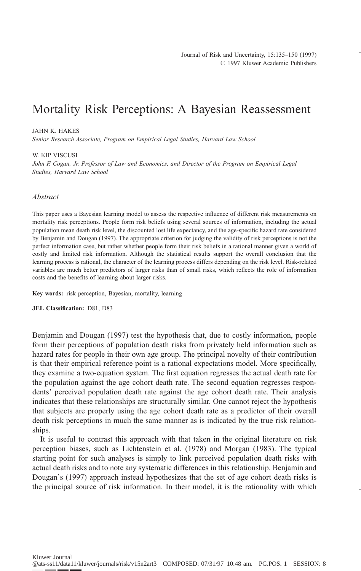# Mortality Risk Perceptions: A Bayesian Reassessment

#### JAHN K. HAKES

*Senior Research Associate, Program on Empirical Legal Studies, Harvard Law School*

#### W. KIP VISCUSI

*John F. Cogan, Jr. Professor of Law and Economics, and Director of the Program on Empirical Legal Studies, Harvard Law School*

#### *Abstract*

This paper uses a Bayesian learning model to assess the respective influence of different risk measurements on mortality risk perceptions. People form risk beliefs using several sources of information, including the actual population mean death risk level, the discounted lost life expectancy, and the age-specific hazard rate considered by Benjamin and Dougan (1997). The appropriate criterion for judging the validity of risk perceptions is not the perfect information case, but rather whether people form their risk beliefs in a rational manner given a world of costly and limited risk information. Although the statistical results support the overall conclusion that the learning process is rational, the character of the learning process differs depending on the risk level. Risk-related variables are much better predictors of larger risks than of small risks, which reflects the role of information costs and the benefits of learning about larger risks.

**Key words:** risk perception, Bayesian, mortality, learning

**JEL Classification:** D81, D83

Benjamin and Dougan (1997) test the hypothesis that, due to costly information, people form their perceptions of population death risks from privately held information such as hazard rates for people in their own age group. The principal novelty of their contribution is that their empirical reference point is a rational expectations model. More specifically, they examine a two-equation system. The first equation regresses the actual death rate for the population against the age cohort death rate. The second equation regresses respondents' perceived population death rate against the age cohort death rate. Their analysis indicates that these relationships are structurally similar. One cannot reject the hypothesis that subjects are properly using the age cohort death rate as a predictor of their overall death risk perceptions in much the same manner as is indicated by the true risk relationships.

It is useful to contrast this approach with that taken in the original literature on risk perception biases, such as Lichtenstein et al. (1978) and Morgan (1983). The typical starting point for such analyses is simply to link perceived population death risks with actual death risks and to note any systematic differences in this relationship. Benjamin and Dougan's (1997) approach instead hypothesizes that the set of age cohort death risks is the principal source of risk information. In their model, it is the rationality with which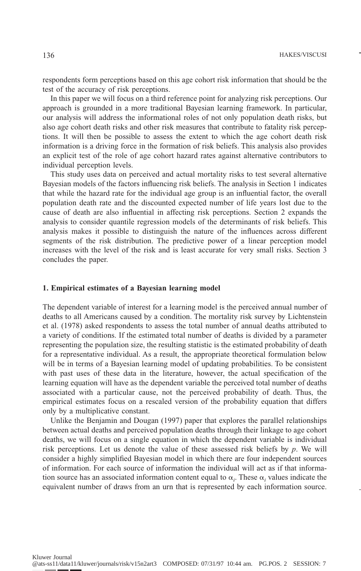respondents form perceptions based on this age cohort risk information that should be the test of the accuracy of risk perceptions.

In this paper we will focus on a third reference point for analyzing risk perceptions. Our approach is grounded in a more traditional Bayesian learning framework. In particular, our analysis will address the informational roles of not only population death risks, but also age cohort death risks and other risk measures that contribute to fatality risk perceptions. It will then be possible to assess the extent to which the age cohort death risk information is a driving force in the formation of risk beliefs. This analysis also provides an explicit test of the role of age cohort hazard rates against alternative contributors to individual perception levels.

This study uses data on perceived and actual mortality risks to test several alternative Bayesian models of the factors influencing risk beliefs. The analysis in Section 1 indicates that while the hazard rate for the individual age group is an influential factor, the overall population death rate and the discounted expected number of life years lost due to the cause of death are also influential in affecting risk perceptions. Section 2 expands the analysis to consider quantile regression models of the determinants of risk beliefs. This analysis makes it possible to distinguish the nature of the influences across different segments of the risk distribution. The predictive power of a linear perception model increases with the level of the risk and is least accurate for very small risks. Section 3 concludes the paper.

## **1. Empirical estimates of a Bayesian learning model**

The dependent variable of interest for a learning model is the perceived annual number of deaths to all Americans caused by a condition. The mortality risk survey by Lichtenstein et al. (1978) asked respondents to assess the total number of annual deaths attributed to a variety of conditions. If the estimated total number of deaths is divided by a parameter representing the population size, the resulting statistic is the estimated probability of death for a representative individual. As a result, the appropriate theoretical formulation below will be in terms of a Bayesian learning model of updating probabilities. To be consistent with past uses of these data in the literature, however, the actual specification of the learning equation will have as the dependent variable the perceived total number of deaths associated with a particular cause, not the perceived probability of death. Thus, the empirical estimates focus on a rescaled version of the probability equation that differs only by a multiplicative constant.

Unlike the Benjamin and Dougan (1997) paper that explores the parallel relationships between actual deaths and perceived population deaths through their linkage to age cohort deaths, we will focus on a single equation in which the dependent variable is individual risk perceptions. Let us denote the value of these assessed risk beliefs by *p*. We will consider a highly simplified Bayesian model in which there are four independent sources of information. For each source of information the individual will act as if that information source has an associated information content equal to  $\alpha_i$ . These  $\alpha_i$  values indicate the equivalent number of draws from an urn that is represented by each information source.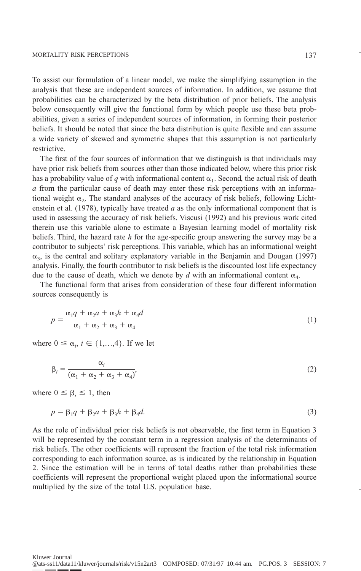To assist our formulation of a linear model, we make the simplifying assumption in the analysis that these are independent sources of information. In addition, we assume that probabilities can be characterized by the beta distribution of prior beliefs. The analysis below consequently will give the functional form by which people use these beta probabilities, given a series of independent sources of information, in forming their posterior beliefs. It should be noted that since the beta distribution is quite flexible and can assume a wide variety of skewed and symmetric shapes that this assumption is not particularly restrictive.

The first of the four sources of information that we distinguish is that individuals may have prior risk beliefs from sources other than those indicated below, where this prior risk has a probability value of *q* with informational content  $\alpha_1$ . Second, the actual risk of death *a* from the particular cause of death may enter these risk perceptions with an informational weight  $\alpha_2$ . The standard analyses of the accuracy of risk beliefs, following Lichtenstein et al. (1978), typically have treated *a* as the only informational component that is used in assessing the accuracy of risk beliefs. Viscusi (1992) and his previous work cited therein use this variable alone to estimate a Bayesian learning model of mortality risk beliefs. Third, the hazard rate *h* for the age-specific group answering the survey may be a contributor to subjects' risk perceptions. This variable, which has an informational weight  $\alpha_3$ , is the central and solitary explanatory variable in the Benjamin and Dougan (1997) analysis. Finally, the fourth contributor to risk beliefs is the discounted lost life expectancy due to the cause of death, which we denote by  $d$  with an informational content  $\alpha_4$ .

The functional form that arises from consideration of these four different information sources consequently is

$$
p = \frac{\alpha_1 q + \alpha_2 a + \alpha_3 h + \alpha_4 d}{\alpha_1 + \alpha_2 + \alpha_3 + \alpha_4} \tag{1}
$$

where  $0 \leq \alpha_i$ ,  $i \in \{1, \ldots, 4\}$ . If we let

$$
\beta_i = \frac{\alpha_i}{(\alpha_1 + \alpha_2 + \alpha_3 + \alpha_4)},\tag{2}
$$

where  $0 \leq \beta_i \leq 1$ , then

$$
p = \beta_1 q + \beta_2 a + \beta_3 h + \beta_4 d. \tag{3}
$$

As the role of individual prior risk beliefs is not observable, the first term in Equation 3 will be represented by the constant term in a regression analysis of the determinants of risk beliefs. The other coefficients will represent the fraction of the total risk information corresponding to each information source, as is indicated by the relationship in Equation 2. Since the estimation will be in terms of total deaths rather than probabilities these coefficients will represent the proportional weight placed upon the informational source multiplied by the size of the total U.S. population base.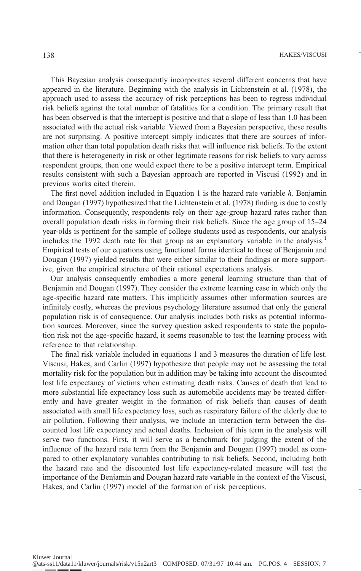This Bayesian analysis consequently incorporates several different concerns that have appeared in the literature. Beginning with the analysis in Lichtenstein et al. (1978), the approach used to assess the accuracy of risk perceptions has been to regress individual risk beliefs against the total number of fatalities for a condition. The primary result that has been observed is that the intercept is positive and that a slope of less than 1.0 has been associated with the actual risk variable. Viewed from a Bayesian perspective, these results are not surprising. A positive intercept simply indicates that there are sources of information other than total population death risks that will influence risk beliefs. To the extent that there is heterogeneity in risk or other legitimate reasons for risk beliefs to vary across respondent groups, then one would expect there to be a positive intercept term. Empirical results consistent with such a Bayesian approach are reported in Viscusi (1992) and in previous works cited therein.

The first novel addition included in Equation 1 is the hazard rate variable *h*. Benjamin and Dougan (1997) hypothesized that the Lichtenstein et al. (1978) finding is due to costly information. Consequently, respondents rely on their age-group hazard rates rather than overall population death risks in forming their risk beliefs. Since the age group of 15–24 year-olds is pertinent for the sample of college students used as respondents, our analysis includes the 1992 death rate for that group as an explanatory variable in the analysis.<sup>1</sup> Empirical tests of our equations using functional forms identical to those of Benjamin and Dougan (1997) yielded results that were either similar to their findings or more supportive, given the empirical structure of their rational expectations analysis.

Our analysis consequently embodies a more general learning structure than that of Benjamin and Dougan (1997). They consider the extreme learning case in which only the age-specific hazard rate matters. This implicitly assumes other information sources are infinitely costly, whereas the previous psychology literature assumed that only the general population risk is of consequence. Our analysis includes both risks as potential information sources. Moreover, since the survey question asked respondents to state the population risk not the age-specific hazard, it seems reasonable to test the learning process with reference to that relationship.

The final risk variable included in equations 1 and 3 measures the duration of life lost. Viscusi, Hakes, and Carlin (1997) hypothesize that people may not be assessing the total mortality risk for the population but in addition may be taking into account the discounted lost life expectancy of victims when estimating death risks. Causes of death that lead to more substantial life expectancy loss such as automobile accidents may be treated differently and have greater weight in the formation of risk beliefs than causes of death associated with small life expectancy loss, such as respiratory failure of the elderly due to air pollution. Following their analysis, we include an interaction term between the discounted lost life expectancy and actual deaths. Inclusion of this term in the analysis will serve two functions. First, it will serve as a benchmark for judging the extent of the influence of the hazard rate term from the Benjamin and Dougan (1997) model as compared to other explanatory variables contributing to risk beliefs. Second, including both the hazard rate and the discounted lost life expectancy-related measure will test the importance of the Benjamin and Dougan hazard rate variable in the context of the Viscusi, Hakes, and Carlin (1997) model of the formation of risk perceptions.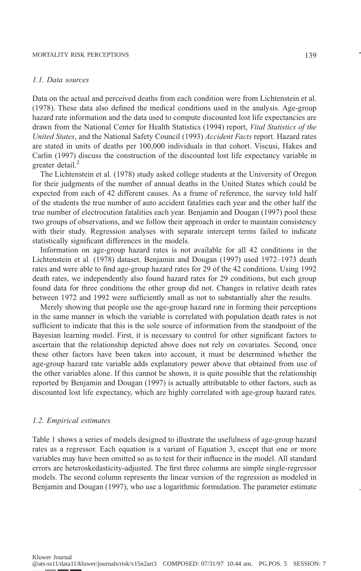## *1.1. Data sources*

Data on the actual and perceived deaths from each condition were from Lichtenstein et al. (1978). These data also defined the medical conditions used in the analysis. Age-group hazard rate information and the data used to compute discounted lost life expectancies are drawn from the National Center for Health Statistics (1994) report, *Vital Statistics of the United States*, and the National Safety Council (1993) *Accident Facts* report. Hazard rates are stated in units of deaths per 100,000 individuals in that cohort. Viscusi, Hakes and Carlin (1997) discuss the construction of the discounted lost life expectancy variable in greater detail.<sup>2</sup>

The Lichtenstein et al. (1978) study asked college students at the University of Oregon for their judgments of the number of annual deaths in the United States which could be expected from each of 42 different causes. As a frame of reference, the survey told half of the students the true number of auto accident fatalities each year and the other half the true number of electrocution fatalities each year. Benjamin and Dougan (1997) pool these two groups of observations, and we follow their approach in order to maintain consistency with their study. Regression analyses with separate intercept terms failed to indicate statistically significant differences in the models.

Information on age-group hazard rates is not available for all 42 conditions in the Lichtenstein et al. (1978) dataset. Benjamin and Dougan (1997) used 1972–1973 death rates and were able to find age-group hazard rates for 29 of the 42 conditions. Using 1992 death rates, we independently also found hazard rates for 29 conditions, but each group found data for three conditions the other group did not. Changes in relative death rates between 1972 and 1992 were sufficiently small as not to substantially alter the results.

Merely showing that people use the age-group hazard rate in forming their perceptions in the same manner in which the variable is correlated with population death rates is not sufficient to indicate that this is the sole source of information from the standpoint of the Bayesian learning model. First, it is necessary to control for other significant factors to ascertain that the relationship depicted above does not rely on covariates. Second, once these other factors have been taken into account, it must be determined whether the age-group hazard rate variable adds explanatory power above that obtained from use of the other variables alone. If this cannot be shown, it is quite possible that the relationship reported by Benjamin and Dougan (1997) is actually attributable to other factors, such as discounted lost life expectancy, which are highly correlated with age-group hazard rates.

#### *1.2. Empirical estimates*

Table 1 shows a series of models designed to illustrate the usefulness of age-group hazard rates as a regressor. Each equation is a variant of Equation 3, except that one or more variables may have been omitted so as to test for their influence in the model. All standard errors are heteroskedasticity-adjusted. The first three columns are simple single-regressor models. The second column represents the linear version of the regression as modeled in Benjamin and Dougan (1997), who use a logarithmic formulation. The parameter estimate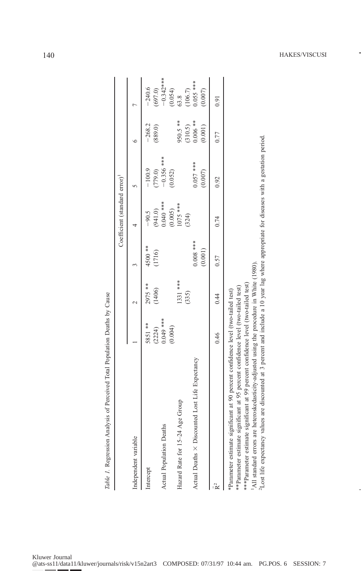|                                                                                                                                                                                                                                                                                                                                                                                                                                                                                                                                  |                       |                   |                        | Coefficient (standard error) <sup>1</sup> |                         |                      |                        |
|----------------------------------------------------------------------------------------------------------------------------------------------------------------------------------------------------------------------------------------------------------------------------------------------------------------------------------------------------------------------------------------------------------------------------------------------------------------------------------------------------------------------------------|-----------------------|-------------------|------------------------|-------------------------------------------|-------------------------|----------------------|------------------------|
| Independent variable                                                                                                                                                                                                                                                                                                                                                                                                                                                                                                             |                       |                   |                        |                                           |                         | c                    |                        |
| Intercept                                                                                                                                                                                                                                                                                                                                                                                                                                                                                                                        | 5851 **<br>(2224)     | 2975 **<br>(1406) | 4500 **<br>(1716)      | (941.0)<br>$-90.5$                        | $-100.9$<br>779.0)      | $-268.2$<br>(889.0)  | $-240.6$<br>(697.0)    |
| <b>Actual Population Deaths</b>                                                                                                                                                                                                                                                                                                                                                                                                                                                                                                  | $0.049***$<br>(0.004) |                   |                        | $0.040***$<br>(0.005)                     | $-0.356$ ***<br>(0.052) |                      | $-0.342***$<br>(0.054) |
| Hazard Rate for 15-24 Age Group                                                                                                                                                                                                                                                                                                                                                                                                                                                                                                  |                       | 1331 ***<br>(335) |                        | $1075$ ***<br>(324)                       |                         | 950.5 **<br>(310.5)  | (106.7)<br>63.8        |
| Actual Deaths $\times$ Discounted Lost Life Expectancy                                                                                                                                                                                                                                                                                                                                                                                                                                                                           |                       |                   | $0.008$ ***<br>(0.001) |                                           | $0.057$ ***<br>(0.007)  | $0.006**$<br>(0.001) | $0.055$ ***<br>(0.007) |
|                                                                                                                                                                                                                                                                                                                                                                                                                                                                                                                                  | 0.46                  | 0.44              | 0.57                   | 0.74                                      | 0.92                    | 0.77                 | $\overline{0.9}$       |
| <sup>2</sup> Lost life expectancy values are discounted at 3 percent and include a 10 year lag where appropriate for diseases with a gestation period<br>heteroskedasticity-adjusted using the procedure in White (1980).<br>***Parameter estimate significant at 99 percent confidence level (two-tailed test)<br>**Parameter estimate significant at 95 percent confidence level (two-tailed test)<br>*Parameter estimate significant at 90 percent confidence level (two-tailed test)<br><sup>1</sup> All standard errors are |                       |                   |                        |                                           |                         |                      |                        |

Table 1. Regression Analysis of Perceived Total Population Deaths by Cause *Table 1.* Regression Analysis of Perceived Total Population Deaths by Cause

140 HAKES/VISCUSI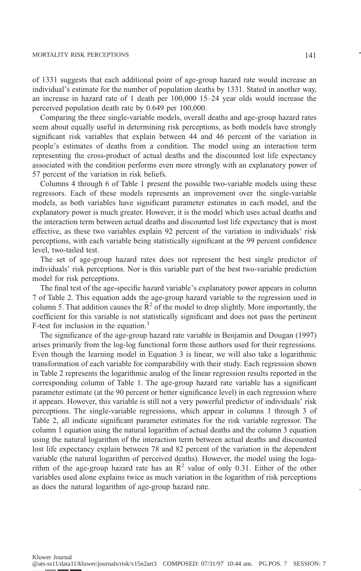#### MORTALITY RISK PERCEPTIONS 141

of 1331 suggests that each additional point of age-group hazard rate would increase an individual's estimate for the number of population deaths by 1331. Stated in another way, an increase in hazard rate of 1 death per 100,000 15–24 year olds would increase the perceived population death rate by 0.649 per 100,000.

Comparing the three single-variable models, overall deaths and age-group hazard rates seem about equally useful in determining risk perceptions, as both models have strongly significant risk variables that explain between 44 and 46 percent of the variation in people's estimates of deaths from a condition. The model using an interaction term representing the cross-product of actual deaths and the discounted lost life expectancy associated with the condition performs even more strongly with an explanatory power of 57 percent of the variation in risk beliefs.

Columns 4 through 6 of Table 1 present the possible two-variable models using these regressors. Each of these models represents an improvement over the single-variable models, as both variables have significant parameter estimates in each model, and the explanatory power is much greater. However, it is the model which uses actual deaths and the interaction term between actual deaths and discounted lost life expectancy that is most effective, as these two variables explain 92 percent of the variation in individuals' risk perceptions, with each variable being statistically significant at the 99 percent confidence level, two-tailed test.

The set of age-group hazard rates does not represent the best single predictor of individuals' risk perceptions. Nor is this variable part of the best two-variable prediction model for risk perceptions.

The final test of the age-specific hazard variable's explanatory power appears in column 7 of Table 2. This equation adds the age-group hazard variable to the regression used in column 5. That addition causes the  $R^2$  of the model to drop slightly. More importantly, the coefficient for this variable is not statistically significant and does not pass the pertinent F-test for inclusion in the equation.<sup>3</sup>

The significance of the age-group hazard rate variable in Benjamin and Dougan (1997) arises primarily from the log-log functional form those authors used for their regressions. Even though the learning model in Equation 3 is linear, we will also take a logarithmic transformation of each variable for comparability with their study. Each regression shown in Table 2 represents the logarithmic analog of the linear regression results reported in the corresponding column of Table 1. The age-group hazard rate variable has a significant parameter estimate (at the 90 percent or better significance level) in each regression where it appears. However, this variable is still not a very powerful predictor of individuals' risk perceptions. The single-variable regressions, which appear in columns 1 through 3 of Table 2, all indicate significant parameter estimates for the risk variable regressor. The column 1 equation using the natural logarithm of actual deaths and the column 3 equation using the natural logarithm of the interaction term between actual deaths and discounted lost life expectancy explain between 78 and 82 percent of the variation in the dependent variable (the natural logarithm of perceived deaths). However, the model using the logarithm of the age-group hazard rate has an  $\overline{R}^2$  value of only 0.31. Either of the other variables used alone explains twice as much variation in the logarithm of risk perceptions as does the natural logarithm of age-group hazard rate.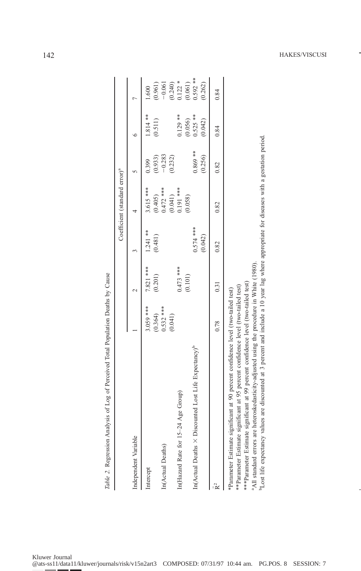|                                                                                                                                                                                                                                                                                                                                                                                                                                                                                                                                   |                        |             |             | Coefficient (standard error) <sup>a</sup> |                     |            |                     |
|-----------------------------------------------------------------------------------------------------------------------------------------------------------------------------------------------------------------------------------------------------------------------------------------------------------------------------------------------------------------------------------------------------------------------------------------------------------------------------------------------------------------------------------|------------------------|-------------|-------------|-------------------------------------------|---------------------|------------|---------------------|
| Independent Variable                                                                                                                                                                                                                                                                                                                                                                                                                                                                                                              |                        |             |             |                                           |                     | €          |                     |
| Intercept                                                                                                                                                                                                                                                                                                                                                                                                                                                                                                                         | 3.059 ***              | 7.821 ***   | $1.241$ **  | 3.615 ***                                 | 0.399               | $1.814**$  | 000                 |
| In(Actual Deaths)                                                                                                                                                                                                                                                                                                                                                                                                                                                                                                                 | $0.532$ ***<br>(0.364) | (0.201)     | (0.481)     | $0.472***$<br>(0.405)                     | $-0.283$<br>(0.933) | (0.511)    | $-0.061$<br>(0.961) |
|                                                                                                                                                                                                                                                                                                                                                                                                                                                                                                                                   | (0.041)                |             |             | (0.041)                                   | (0.232)             |            | (0.240)             |
| In(Hazard Rate for 15-24 Age Group)                                                                                                                                                                                                                                                                                                                                                                                                                                                                                               |                        | $0.473$ *** |             | 191 ***                                   |                     | $0.129**$  | $0.122 *$           |
|                                                                                                                                                                                                                                                                                                                                                                                                                                                                                                                                   |                        | (0.101)     |             | (0.058)                                   |                     | (0.056)    | (0.061)             |
| In(Actual Deaths × Discounted Lost Life Expectancy) <sup>p</sup>                                                                                                                                                                                                                                                                                                                                                                                                                                                                  |                        |             | $0.574$ *** |                                           | $0.869**$           | $0.525$ ** | $0.592$ **          |
|                                                                                                                                                                                                                                                                                                                                                                                                                                                                                                                                   |                        |             | (0.042)     |                                           | (0.256)             | (0.042)    | (0.262)             |
|                                                                                                                                                                                                                                                                                                                                                                                                                                                                                                                                   | 0.78                   | 0.31        | 0.82        | 0.82                                      | 0.82                | 0.84       | 0.84                |
| <sup>b</sup> Lost life expectancy values are discounted at 3 percent and include a 10 year lag where appropriate for diseases with a gestation period.<br><sup>a</sup> All standard errors are heteroskedasticity-adjusted using the procedure in White (1980).<br>significant at 99 percent confidence level (two-tailed test)<br>**Parameter Estimate significant at 95 percent confidence level (two-tailed test)<br>*Parameter Estimate significant at 90 percent confidence level (two-tailed test)<br>***Parameter Estimate |                        |             |             |                                           |                     |            |                     |
|                                                                                                                                                                                                                                                                                                                                                                                                                                                                                                                                   |                        |             |             |                                           |                     |            |                     |

Table 2. Regression Analysis of Log of Perceived Total Population Deaths by Cause *Table 2.* Regression Analysis of Log of Perceived Total Population Deaths by Cause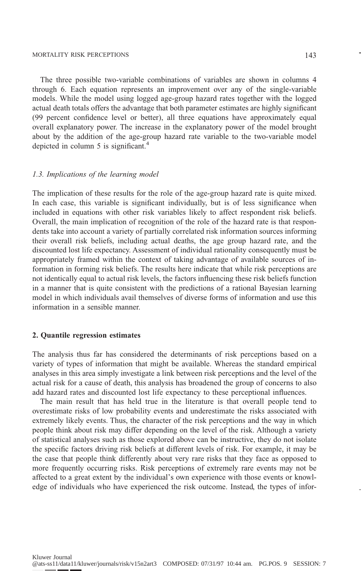#### MORTALITY RISK PERCEPTIONS 143

The three possible two-variable combinations of variables are shown in columns 4 through 6. Each equation represents an improvement over any of the single-variable models. While the model using logged age-group hazard rates together with the logged actual death totals offers the advantage that both parameter estimates are highly significant (99 percent confidence level or better), all three equations have approximately equal overall explanatory power. The increase in the explanatory power of the model brought about by the addition of the age-group hazard rate variable to the two-variable model depicted in column 5 is significant.<sup>4</sup>

## *1.3. Implications of the learning model*

The implication of these results for the role of the age-group hazard rate is quite mixed. In each case, this variable is significant individually, but is of less significance when included in equations with other risk variables likely to affect respondent risk beliefs. Overall, the main implication of recognition of the role of the hazard rate is that respondents take into account a variety of partially correlated risk information sources informing their overall risk beliefs, including actual deaths, the age group hazard rate, and the discounted lost life expectancy. Assessment of individual rationality consequently must be appropriately framed within the context of taking advantage of available sources of information in forming risk beliefs. The results here indicate that while risk perceptions are not identically equal to actual risk levels, the factors influencing these risk beliefs function in a manner that is quite consistent with the predictions of a rational Bayesian learning model in which individuals avail themselves of diverse forms of information and use this information in a sensible manner.

### **2. Quantile regression estimates**

The analysis thus far has considered the determinants of risk perceptions based on a variety of types of information that might be available. Whereas the standard empirical analyses in this area simply investigate a link between risk perceptions and the level of the actual risk for a cause of death, this analysis has broadened the group of concerns to also add hazard rates and discounted lost life expectancy to these perceptional influences.

The main result that has held true in the literature is that overall people tend to overestimate risks of low probability events and underestimate the risks associated with extremely likely events. Thus, the character of the risk perceptions and the way in which people think about risk may differ depending on the level of the risk. Although a variety of statistical analyses such as those explored above can be instructive, they do not isolate the specific factors driving risk beliefs at different levels of risk. For example, it may be the case that people think differently about very rare risks that they face as opposed to more frequently occurring risks. Risk perceptions of extremely rare events may not be affected to a great extent by the individual's own experience with those events or knowledge of individuals who have experienced the risk outcome. Instead, the types of infor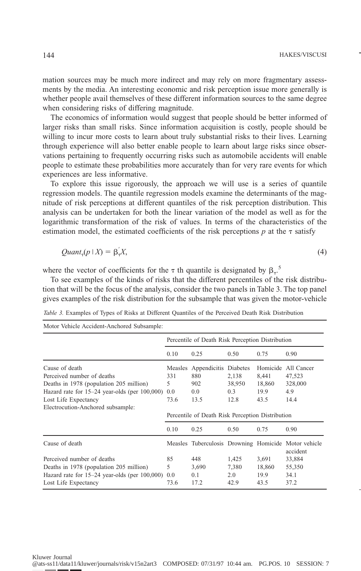mation sources may be much more indirect and may rely on more fragmentary assessments by the media. An interesting economic and risk perception issue more generally is whether people avail themselves of these different information sources to the same degree when considering risks of differing magnitude.

The economics of information would suggest that people should be better informed of larger risks than small risks. Since information acquisition is costly, people should be willing to incur more costs to learn about truly substantial risks to their lives. Learning through experience will also better enable people to learn about large risks since observations pertaining to frequently occurring risks such as automobile accidents will enable people to estimate these probabilities more accurately than for very rare events for which experiences are less informative.

To explore this issue rigorously, the approach we will use is a series of quantile regression models. The quantile regression models examine the determinants of the magnitude of risk perceptions at different quantiles of the risk perception distribution. This analysis can be undertaken for both the linear variation of the model as well as for the logarithmic transformation of the risk of values. In terms of the characteristics of the estimation model, the estimated coefficients of the risk perceptions  $p$  at the  $\tau$  satisfy

$$
Quant_{\tau}(p \mid X) = \beta_{\tau}' X,\tag{4}
$$

where the vector of coefficients for the  $\tau$  th quantile is designated by  $\beta_{\tau}$ .

To see examples of the kinds of risks that the different percentiles of the risk distribution that will be the focus of the analysis, consider the two panels in Table 3. The top panel gives examples of the risk distribution for the subsample that was given the motor-vehicle

| Motor Vehicle Accident-Anchored Subsample:         |         |                                                  |        |          |                                                                  |
|----------------------------------------------------|---------|--------------------------------------------------|--------|----------|------------------------------------------------------------------|
|                                                    |         | Percentile of Death Risk Perception Distribution |        |          |                                                                  |
|                                                    | 0.10    | 0.25                                             | 0.50   | 0.75     | 0.90                                                             |
| Cause of death                                     | Measles | Appendicitis Diabetes                            |        | Homicide | All Cancer                                                       |
| Perceived number of deaths                         | 331     | 880                                              | 2,138  | 8,441    | 47,523                                                           |
| Deaths in 1978 (population 205 million)            | 5       | 902                                              | 38,950 | 18,860   | 328,000                                                          |
| Hazard rate for $15-24$ year-olds (per $100,000$ ) | 0.0     | 0.0                                              | 0.3    | 19.9     | 4.9                                                              |
| Lost Life Expectancy                               | 73.6    | 13.5                                             | 12.8   | 43.5     | 14.4                                                             |
| Electrocution-Anchored subsample:                  |         |                                                  |        |          |                                                                  |
|                                                    |         | Percentile of Death Risk Perception Distribution |        |          |                                                                  |
|                                                    | 0.10    | 0.25                                             | 0.50   | 0.75     | 0.90                                                             |
| Cause of death                                     |         |                                                  |        |          | Measles Tuberculosis Drowning Homicide Motor vehicle<br>accident |
| Perceived number of deaths                         | 85      | 448                                              | 1,425  | 3,691    | 33,884                                                           |
| Deaths in 1978 (population 205 million)            | 5       | 3,690                                            | 7,380  | 18,860   | 55,350                                                           |
| Hazard rate for $15-24$ year-olds (per $100,000$ ) | 0.0     | 0.1                                              | 2.0    | 19.9     | 34.1                                                             |
| Lost Life Expectancy                               | 73.6    | 17.2                                             | 42.9   | 43.5     | 37.2                                                             |

*Table 3.* Examples of Types of Risks at Different Quantiles of the Perceived Death Risk Distribution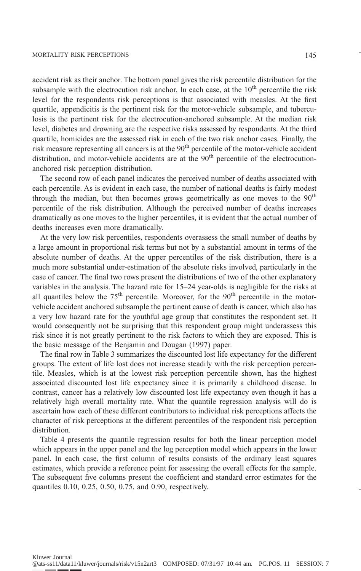accident risk as their anchor. The bottom panel gives the risk percentile distribution for the subsample with the electrocution risk anchor. In each case, at the  $10<sup>th</sup>$  percentile the risk level for the respondents risk perceptions is that associated with measles. At the first quartile, appendicitis is the pertinent risk for the motor-vehicle subsample, and tuberculosis is the pertinent risk for the electrocution-anchored subsample. At the median risk level, diabetes and drowning are the respective risks assessed by respondents. At the third quartile, homicides are the assessed risk in each of the two risk anchor cases. Finally, the risk measure representing all cancers is at the  $90<sup>th</sup>$  percentile of the motor-vehicle accident distribution, and motor-vehicle accidents are at the  $90<sup>th</sup>$  percentile of the electrocutionanchored risk perception distribution.

The second row of each panel indicates the perceived number of deaths associated with each percentile. As is evident in each case, the number of national deaths is fairly modest through the median, but then becomes grows geometrically as one moves to the  $90<sup>th</sup>$ percentile of the risk distribution. Although the perceived number of deaths increases dramatically as one moves to the higher percentiles, it is evident that the actual number of deaths increases even more dramatically.

At the very low risk percentiles, respondents overassess the small number of deaths by a large amount in proportional risk terms but not by a substantial amount in terms of the absolute number of deaths. At the upper percentiles of the risk distribution, there is a much more substantial under-estimation of the absolute risks involved, particularly in the case of cancer. The final two rows present the distributions of two of the other explanatory variables in the analysis. The hazard rate for 15–24 year-olds is negligible for the risks at all quantiles below the  $75<sup>th</sup>$  percentile. Moreover, for the  $90<sup>th</sup>$  percentile in the motorvehicle accident anchored subsample the pertinent cause of death is cancer, which also has a very low hazard rate for the youthful age group that constitutes the respondent set. It would consequently not be surprising that this respondent group might underassess this risk since it is not greatly pertinent to the risk factors to which they are exposed. This is the basic message of the Benjamin and Dougan (1997) paper.

The final row in Table 3 summarizes the discounted lost life expectancy for the different groups. The extent of life lost does not increase steadily with the risk perception percentile. Measles, which is at the lowest risk perception percentile shown, has the highest associated discounted lost life expectancy since it is primarily a childhood disease. In contrast, cancer has a relatively low discounted lost life expectancy even though it has a relatively high overall mortality rate. What the quantile regression analysis will do is ascertain how each of these different contributors to individual risk perceptions affects the character of risk perceptions at the different percentiles of the respondent risk perception distribution.

Table 4 presents the quantile regression results for both the linear perception model which appears in the upper panel and the log perception model which appears in the lower panel. In each case, the first column of results consists of the ordinary least squares estimates, which provide a reference point for assessing the overall effects for the sample. The subsequent five columns present the coefficient and standard error estimates for the quantiles 0.10, 0.25, 0.50, 0.75, and 0.90, respectively.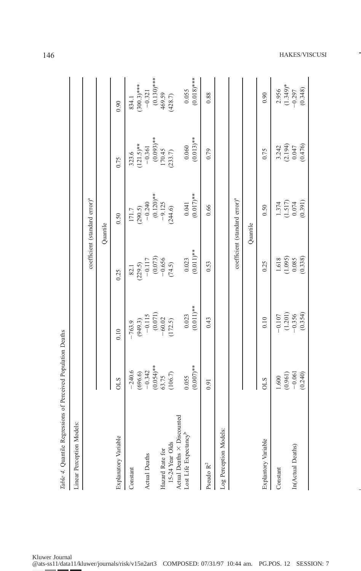| Linear Perception Models:         |                       |                       |                                                            |                                            |                                |                           |
|-----------------------------------|-----------------------|-----------------------|------------------------------------------------------------|--------------------------------------------|--------------------------------|---------------------------|
|                                   |                       |                       |                                                            | coefficient (standard error) <sup>a</sup>  |                                |                           |
|                                   |                       |                       |                                                            | Quantile                                   |                                |                           |
| Explanatory Variable              | STIO                  | 0.10                  | 0.25                                                       | 0.50                                       | 0.75                           | 0.90                      |
| Constant                          | $-240.6$              | $-763.9$              | $82.1\,$                                                   | $171.7\,$                                  |                                | 834.1                     |
| Actual Deaths                     | $(696.6)$<br>$-0.342$ | $(949.3)$<br>-0.115   | $(229.5)$<br>$-0.117$<br>$(0.073)$<br>$-0.656$<br>$(74.5)$ | $(290.5)$<br>-0.240<br>(0.120)**<br>-9.125 | $323.6$<br>(121.5)**<br>-0.361 | $(300.3)$ ***<br>$-0.321$ |
|                                   | $(0.054)$ **          |                       |                                                            |                                            |                                |                           |
| Hazard Rate for                   | 63.75                 | $(0.071)$<br>-60.02   |                                                            |                                            | $(0.093)$ **<br>170.45         | $(0.130)$ ***<br>469.59   |
| 15-24 Year Olds                   | (106.7)               | (172.5)               |                                                            | (244.6)                                    | (233.7)                        | (428.7)                   |
| Actual Deaths × Discounted        |                       |                       |                                                            |                                            |                                |                           |
| Lost Life Expectancy <sup>b</sup> | $(0.007)$ **<br>0.055 | $(0.011)$ **<br>0.023 | $(0.011)$ **<br>0.023                                      | $(0.017)$ **<br>0.041                      | $(0.013)$ **<br>0.060          | $(0.018)$ ***<br>0.055    |
| Pseudo $\mathbf{R}^2$             | 0.91                  | 0.43                  | 0.53                                                       | 0.66                                       | 0.79                           | 0.88                      |
| Log Perception Models:            |                       |                       |                                                            |                                            |                                |                           |
|                                   |                       |                       |                                                            | coefficient (standard error) <sup>a</sup>  |                                |                           |
|                                   |                       |                       |                                                            | Quantile                                   |                                |                           |
| Explantory Variable               | <b>OLS</b>            | 0.10                  | 0.25                                                       | 0.50                                       | 0.75                           | 0.90                      |
| Constant                          | 1.600                 | $-0.107$              | 1.618                                                      |                                            |                                | 2.956                     |
|                                   | (0.961)               | $(1.201)$<br>-0.356   | (1.095)                                                    | $1.374$<br>(1.517)<br>0.074                | $3.242$<br>(2.194)<br>0.047    | $(1.349)*$                |
| In(Actual Deaths)                 | $-0.061$              |                       | 0.085                                                      |                                            |                                | $-0.297$                  |
|                                   | (0.240)               | (0.354)               | (0.338)                                                    | (0.391)                                    | (0.476)                        | (0.348)                   |
|                                   |                       |                       |                                                            |                                            |                                |                           |

Table 4. Quantile Regressions of Perceived Population Deaths *Table 4.* Quantile Regressions of Perceived Population Deaths

## 146 HAKES/VISCUSI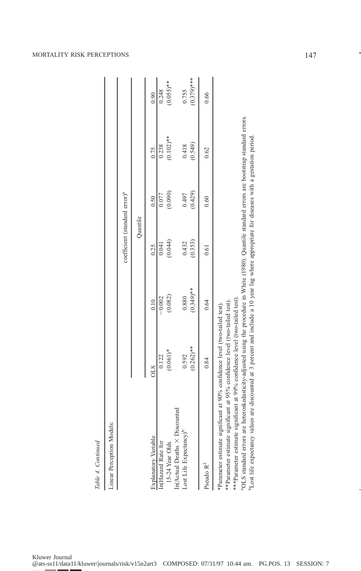| Ş |  |
|---|--|
| ₹ |  |
| ī |  |

| l<br>inear Perception N. |  |
|--------------------------|--|

|                                                                                                                                                                                                                                                                                                                                                                                                                                                                                                                                                                      |              |              | coefficient (standard error) <sup>a</sup> |         |              |               |
|----------------------------------------------------------------------------------------------------------------------------------------------------------------------------------------------------------------------------------------------------------------------------------------------------------------------------------------------------------------------------------------------------------------------------------------------------------------------------------------------------------------------------------------------------------------------|--------------|--------------|-------------------------------------------|---------|--------------|---------------|
|                                                                                                                                                                                                                                                                                                                                                                                                                                                                                                                                                                      |              |              | Quantile                                  |         |              |               |
| Explanatory Variable                                                                                                                                                                                                                                                                                                                                                                                                                                                                                                                                                 | <b>OLS</b>   | 0.10         | 0.25                                      | 0.50    | 0.75         | 0.90          |
| In(Hazard Rate for                                                                                                                                                                                                                                                                                                                                                                                                                                                                                                                                                   | 0.122        | $-0.002$     | 0.041                                     | 0.077   | 0.238        | 0.248         |
| 15-24 Year Olds                                                                                                                                                                                                                                                                                                                                                                                                                                                                                                                                                      | $(0.061)*$   | (0.082)      | (0.044)                                   | (0.090) | $(0.102)$ ** | $(0.055)$ **  |
| iscounted<br>In(Actual Deaths $\times$ Di                                                                                                                                                                                                                                                                                                                                                                                                                                                                                                                            |              |              |                                           |         |              |               |
| Lost Life Expectancy) <sup>b</sup>                                                                                                                                                                                                                                                                                                                                                                                                                                                                                                                                   | 0.592        | 0.880        | 0.432                                     | 0.497   | 0.418        | 0.755         |
|                                                                                                                                                                                                                                                                                                                                                                                                                                                                                                                                                                      | $(0.262)$ ** | $(0.349)$ ** | (0.353)                                   | (0.429) | (0.549)      | $(0.379)$ *** |
| Pseudo R <sup>2</sup>                                                                                                                                                                                                                                                                                                                                                                                                                                                                                                                                                | 0.84         | 0.64         | 0.61                                      | 0.60    | 0.62         | 0.66          |
| <sup>a</sup> OLS standard errors are heteroskedasticity-adjusted using the procedure in White (1980). Quantile standard errors are bootstrap standard errors.<br><sup>b</sup> Lost life expectancy values are discounted at 3 percent and include a 10 year lag where appropriate for diseases with a gestation period<br>***Parameter estimate significant at 99% confidence level (two-tailed test).<br>** Parameter estimate significant at 95% confidence level (two-tailed test).<br>*Parameter estimate significant at 90% confidence level (two-tailed test). |              |              |                                           |         |              |               |

## MORTALITY RISK PERCEPTIONS 147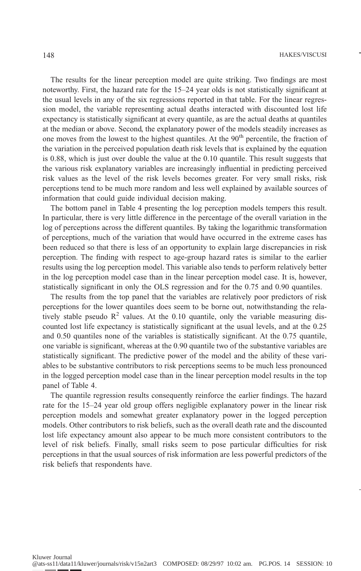The results for the linear perception model are quite striking. Two findings are most noteworthy. First, the hazard rate for the 15–24 year olds is not statistically significant at the usual levels in any of the six regressions reported in that table. For the linear regression model, the variable representing actual deaths interacted with discounted lost life expectancy is statistically significant at every quantile, as are the actual deaths at quantiles at the median or above. Second, the explanatory power of the models steadily increases as one moves from the lowest to the highest quantiles. At the  $90<sup>th</sup>$  percentile, the fraction of the variation in the perceived population death risk levels that is explained by the equation is 0.88, which is just over double the value at the 0.10 quantile. This result suggests that the various risk explanatory variables are increasingly influential in predicting perceived risk values as the level of the risk levels becomes greater. For very small risks, risk perceptions tend to be much more random and less well explained by available sources of information that could guide individual decision making.

The bottom panel in Table 4 presenting the log perception models tempers this result. In particular, there is very little difference in the percentage of the overall variation in the log of perceptions across the different quantiles. By taking the logarithmic transformation of perceptions, much of the variation that would have occurred in the extreme cases has been reduced so that there is less of an opportunity to explain large discrepancies in risk perception. The finding with respect to age-group hazard rates is similar to the earlier results using the log perception model. This variable also tends to perform relatively better in the log perception model case than in the linear perception model case. It is, however, statistically significant in only the OLS regression and for the 0.75 and 0.90 quantiles.

The results from the top panel that the variables are relatively poor predictors of risk perceptions for the lower quantiles does seem to be borne out, notwithstanding the relatively stable pseudo  $R^2$  values. At the 0.10 quantile, only the variable measuring discounted lost life expectancy is statistically significant at the usual levels, and at the 0.25 and 0.50 quantiles none of the variables is statistically significant. At the 0.75 quantile, one variable is significant, whereas at the 0.90 quantile two of the substantive variables are statistically significant. The predictive power of the model and the ability of these variables to be substantive contributors to risk perceptions seems to be much less pronounced in the logged perception model case than in the linear perception model results in the top panel of Table 4.

The quantile regression results consequently reinforce the earlier findings. The hazard rate for the 15–24 year old group offers negligible explanatory power in the linear risk perception models and somewhat greater explanatory power in the logged perception models. Other contributors to risk beliefs, such as the overall death rate and the discounted lost life expectancy amount also appear to be much more consistent contributors to the level of risk beliefs. Finally, small risks seem to pose particular difficulties for risk perceptions in that the usual sources of risk information are less powerful predictors of the risk beliefs that respondents have.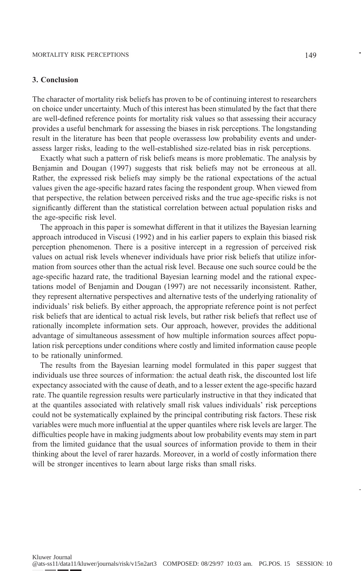## **3. Conclusion**

The character of mortality risk beliefs has proven to be of continuing interest to researchers on choice under uncertainty. Much of this interest has been stimulated by the fact that there are well-defined reference points for mortality risk values so that assessing their accuracy provides a useful benchmark for assessing the biases in risk perceptions. The longstanding result in the literature has been that people overassess low probability events and underassess larger risks, leading to the well-established size-related bias in risk perceptions.

Exactly what such a pattern of risk beliefs means is more problematic. The analysis by Benjamin and Dougan (1997) suggests that risk beliefs may not be erroneous at all. Rather, the expressed risk beliefs may simply be the rational expectations of the actual values given the age-specific hazard rates facing the respondent group. When viewed from that perspective, the relation between perceived risks and the true age-specific risks is not significantly different than the statistical correlation between actual population risks and the age-specific risk level.

The approach in this paper is somewhat different in that it utilizes the Bayesian learning approach introduced in Viscusi (1992) and in his earlier papers to explain this biased risk perception phenomenon. There is a positive intercept in a regression of perceived risk values on actual risk levels whenever individuals have prior risk beliefs that utilize information from sources other than the actual risk level. Because one such source could be the age-specific hazard rate, the traditional Bayesian learning model and the rational expectations model of Benjamin and Dougan (1997) are not necessarily inconsistent. Rather, they represent alternative perspectives and alternative tests of the underlying rationality of individuals' risk beliefs. By either approach, the appropriate reference point is not perfect risk beliefs that are identical to actual risk levels, but rather risk beliefs that reflect use of rationally incomplete information sets. Our approach, however, provides the additional advantage of simultaneous assessment of how multiple information sources affect population risk perceptions under conditions where costly and limited information cause people to be rationally uninformed.

The results from the Bayesian learning model formulated in this paper suggest that individuals use three sources of information: the actual death risk, the discounted lost life expectancy associated with the cause of death, and to a lesser extent the age-specific hazard rate. The quantile regression results were particularly instructive in that they indicated that at the quantiles associated with relatively small risk values individuals' risk perceptions could not be systematically explained by the principal contributing risk factors. These risk variables were much more influential at the upper quantiles where risk levels are larger. The difficulties people have in making judgments about low probability events may stem in part from the limited guidance that the usual sources of information provide to them in their thinking about the level of rarer hazards. Moreover, in a world of costly information there will be stronger incentives to learn about large risks than small risks.